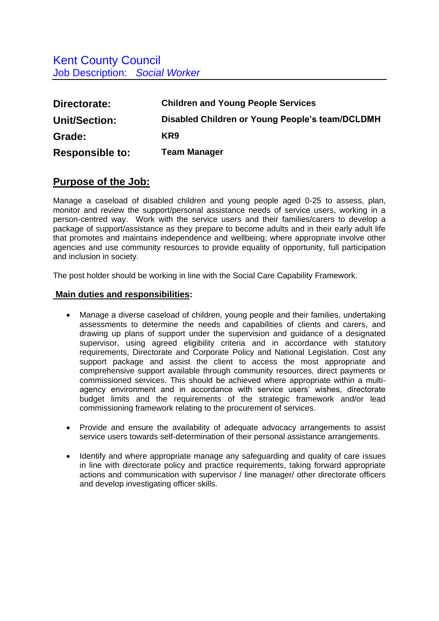| Directorate:           | <b>Children and Young People Services</b>       |
|------------------------|-------------------------------------------------|
| Unit/Section:          | Disabled Children or Young People's team/DCLDMH |
| Grade:                 | KR9                                             |
| <b>Responsible to:</b> | Team Manager                                    |

## **Purpose of the Job:**

Manage a caseload of disabled children and young people aged 0-25 to assess, plan, monitor and review the support/personal assistance needs of service users, working in a person-centred way. Work with the service users and their families/carers to develop a package of support/assistance as they prepare to become adults and in their early adult life that promotes and maintains independence and wellbeing; where appropriate involve other agencies and use community resources to provide equality of opportunity, full participation and inclusion in society.

The post holder should be working in line with the Social Care Capability Framework.

## **Main duties and responsibilities:**

- Manage a diverse caseload of children, young people and their families, undertaking assessments to determine the needs and capabilities of clients and carers, and drawing up plans of support under the supervision and guidance of a designated supervisor, using agreed eligibility criteria and in accordance with statutory requirements, Directorate and Corporate Policy and National Legislation. Cost any support package and assist the client to access the most appropriate and comprehensive support available through community resources, direct payments or commissioned services. This should be achieved where appropriate within a multiagency environment and in accordance with service users' wishes, directorate budget limits and the requirements of the strategic framework and/or lead commissioning framework relating to the procurement of services.
- Provide and ensure the availability of adequate advocacy arrangements to assist service users towards self-determination of their personal assistance arrangements.
- Identify and where appropriate manage any safeguarding and quality of care issues in line with directorate policy and practice requirements, taking forward appropriate actions and communication with supervisor / line manager/ other directorate officers and develop investigating officer skills.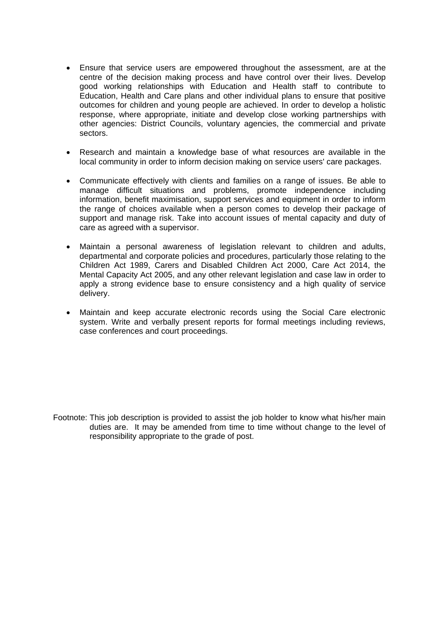- Ensure that service users are empowered throughout the assessment, are at the centre of the decision making process and have control over their lives. Develop good working relationships with Education and Health staff to contribute to Education, Health and Care plans and other individual plans to ensure that positive outcomes for children and young people are achieved. In order to develop a holistic response, where appropriate, initiate and develop close working partnerships with other agencies: District Councils, voluntary agencies, the commercial and private sectors.
- Research and maintain a knowledge base of what resources are available in the local community in order to inform decision making on service users' care packages.
- Communicate effectively with clients and families on a range of issues. Be able to manage difficult situations and problems, promote independence including information, benefit maximisation, support services and equipment in order to inform the range of choices available when a person comes to develop their package of support and manage risk. Take into account issues of mental capacity and duty of care as agreed with a supervisor.
- Maintain a personal awareness of legislation relevant to children and adults, departmental and corporate policies and procedures, particularly those relating to the Children Act 1989, Carers and Disabled Children Act 2000, Care Act 2014, the Mental Capacity Act 2005, and any other relevant legislation and case law in order to apply a strong evidence base to ensure consistency and a high quality of service delivery.
- Maintain and keep accurate electronic records using the Social Care electronic system. Write and verbally present reports for formal meetings including reviews, case conferences and court proceedings.

Footnote: This job description is provided to assist the job holder to know what his/her main duties are. It may be amended from time to time without change to the level of responsibility appropriate to the grade of post.